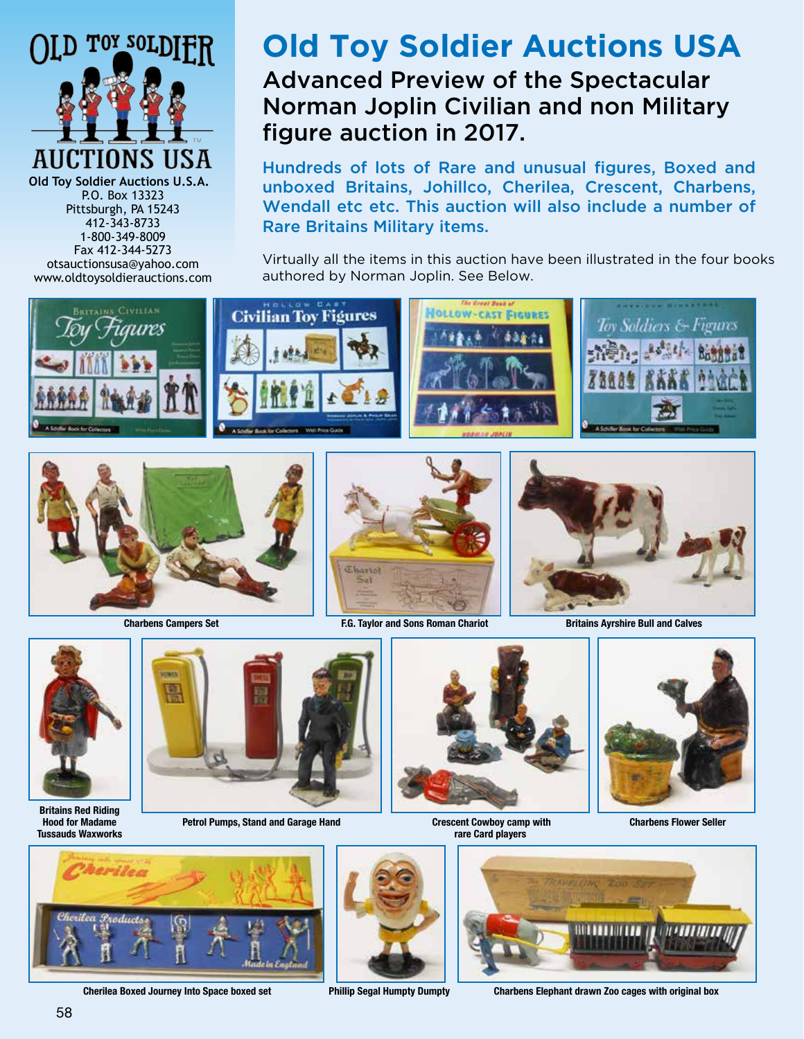

**Old Toy Soldier Auctions U.S.A.** P.O. Box 13323 Pittsburgh, PA 15243 412-343-8733 1-800-349-8009 Fax 412-344-5273 otsauctionsusa@yahoo.com www.oldtoysoldierauctions.com

## **Old Toy Soldier Auctions USA** Advanced Preview of the Spectacular Norman Joplin Civilian and non Military figure auction in 2017.

Hundreds of lots of Rare and unusual figures, Boxed and unboxed Britains, Johillco, Cherilea, Crescent, Charbens, Wendall etc etc. This auction will also include a number of Rare Britains Military items.

Virtually all the items in this auction have been illustrated in the four books authored by Norman Joplin. See Below.





**Britains Red Riding Hood for Madame Tussauds Waxworks**



Petrol Pumps, Stand and Garage Hand **Crescent Cowboy camp with** 



**rare Card players**



 **Charbens Flower Seller**







**Cherilea Boxed Journey Into Space boxed set Phillip Segal Humpty Dumpty Charbens Elephant drawn Zoo cages with original box**